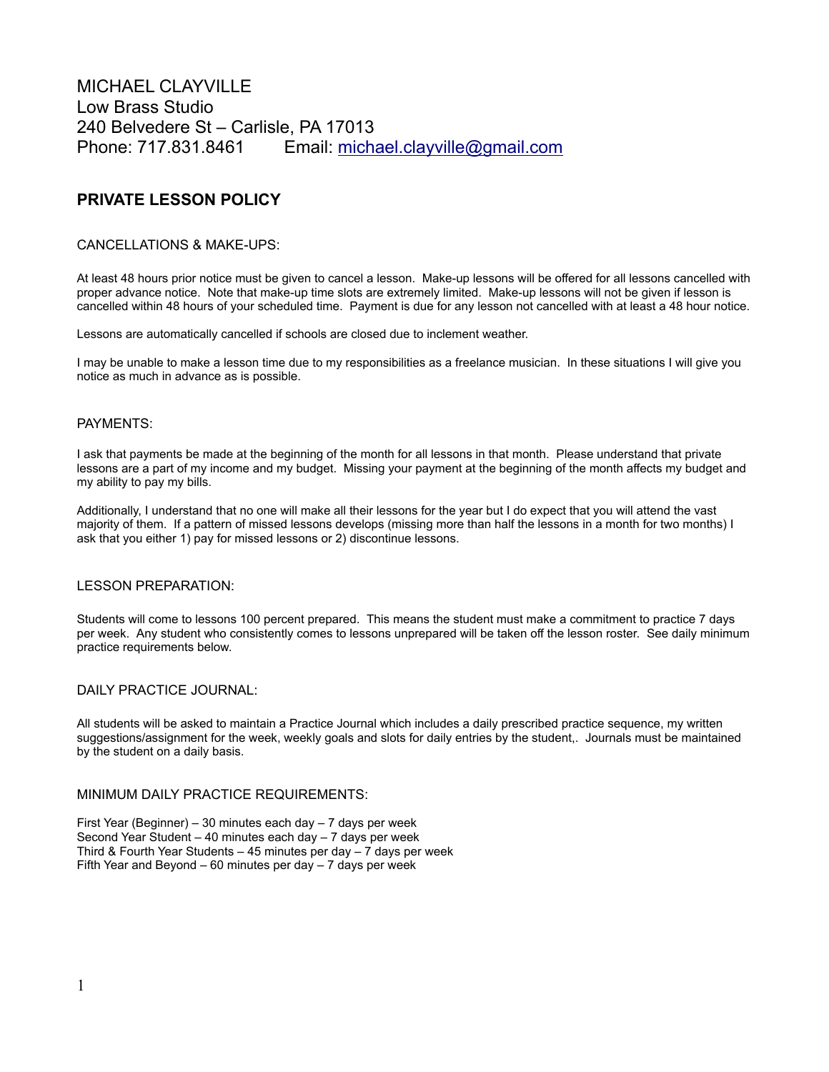MICHAEL CLAYVILLE Low Brass Studio 240 Belvedere St – Carlisle, PA 17013 Phone: 717.831.8461 Email: [michael.clayville@gmail.com](mailto:mclayville@hotmail.com)

# **PRIVATE LESSON POLICY**

## CANCELLATIONS & MAKE-UPS:

At least 48 hours prior notice must be given to cancel a lesson. Make-up lessons will be offered for all lessons cancelled with proper advance notice. Note that make-up time slots are extremely limited. Make-up lessons will not be given if lesson is cancelled within 48 hours of your scheduled time. Payment is due for any lesson not cancelled with at least a 48 hour notice.

Lessons are automatically cancelled if schools are closed due to inclement weather.

I may be unable to make a lesson time due to my responsibilities as a freelance musician. In these situations I will give you notice as much in advance as is possible.

# PAYMENTS:

I ask that payments be made at the beginning of the month for all lessons in that month. Please understand that private lessons are a part of my income and my budget. Missing your payment at the beginning of the month affects my budget and my ability to pay my bills.

Additionally, I understand that no one will make all their lessons for the year but I do expect that you will attend the vast majority of them. If a pattern of missed lessons develops (missing more than half the lessons in a month for two months) I ask that you either 1) pay for missed lessons or 2) discontinue lessons.

#### LESSON PREPARATION:

Students will come to lessons 100 percent prepared. This means the student must make a commitment to practice 7 days per week. Any student who consistently comes to lessons unprepared will be taken off the lesson roster. See daily minimum practice requirements below.

#### DAILY PRACTICE JOURNAL:

All students will be asked to maintain a Practice Journal which includes a daily prescribed practice sequence, my written suggestions/assignment for the week, weekly goals and slots for daily entries by the student,. Journals must be maintained by the student on a daily basis.

#### MINIMUM DAILY PRACTICE REQUIREMENTS:

First Year (Beginner) – 30 minutes each day – 7 days per week Second Year Student – 40 minutes each day – 7 days per week Third & Fourth Year Students – 45 minutes per day – 7 days per week Fifth Year and Beyond – 60 minutes per day – 7 days per week